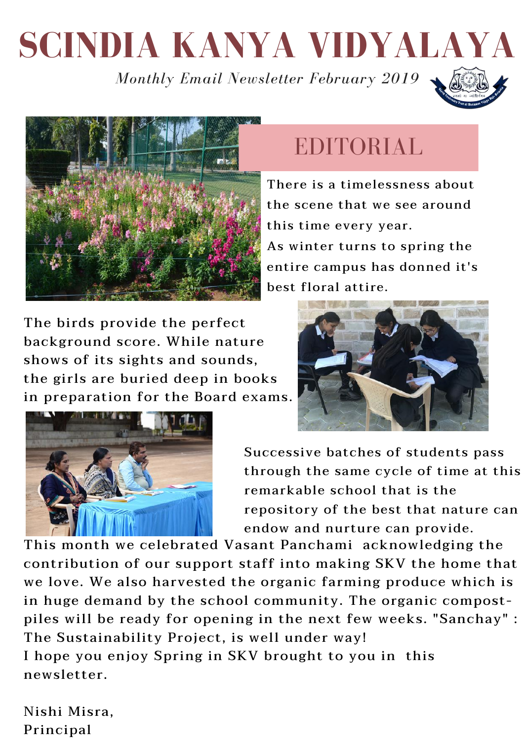# **SCINDIA KANYA VIDYALAYA**

*Monthly Email Newsletter February 2019*





#### EDITORIAL

There is a timelessness about the scene that we see around this time every year. As winter turns to spring the entire campus has donned it's best floral attire.

The birds provide the perfect background score. While nature shows of its sights and sounds, the girls are buried deep in books in preparation for the Board exams.





Successive batches of students pass through the same cycle of time at this remarkable school that is the repository of the best that nature can endow and nurture can provide.

This month we celebrated Vasant Panchami acknowledging the contribution of our support staff into making SKV the home that we love. We also harvested the organic farming produce which is in huge demand by the school community. The organic compostpiles will be ready for opening in the next few weeks. "Sanchay" : The Sustainability Project, is well under way! I hope you enjoy Spring in SKV brought to you in this newsletter.

Nishi Misra, Principal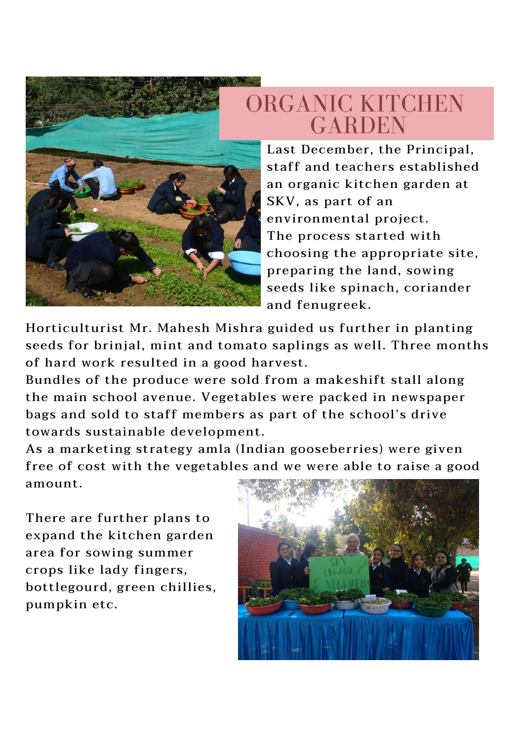

ORGANIC KITCHEN **GARDEN** 

Last December, the Principal, staff and teachers established an organic kitchen garden at SKV, as part of an environmental project. The process started with choosing the appropriate site, preparing the land, sowing seeds like spinach, coriander and fenugreek.

Horticulturist Mr. Mahesh Mishra guided us further in planting seeds for brinjal, mint and tomato saplings as well. Three months of hard work resulted in a good harvest.

Bundles of the produce were sold from a makeshift stall along the main school avenue. Vegetables were packed in newspaper bags and sold to staff members as part of the school's drive towards sustainable development.

As a marketing strategy amla (Indian gooseberries) were given free of cost with the vegetables and we were able to raise a good amount.

There are further plans to expand the kitchen garden area for sowing summer crops like lady fingers, bottlegourd, green chillies, pumpkin etc.

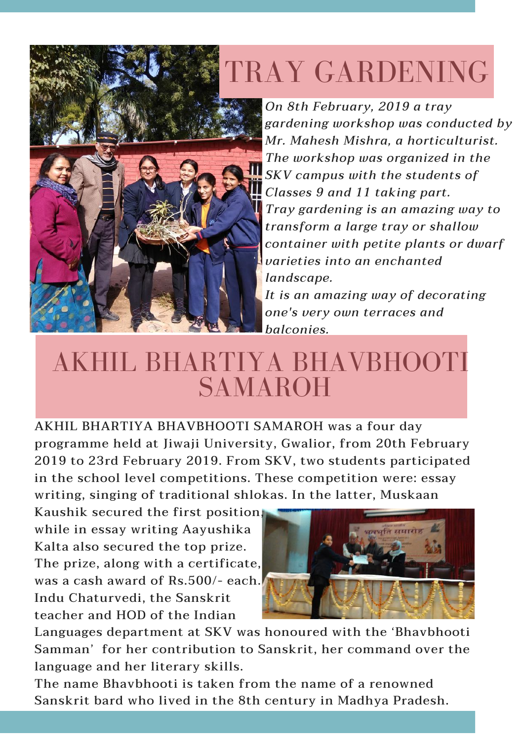## TRAY GARDENING



*On 8th February, 2019 a tray gardening workshop was conducted by Mr. Mahesh Mishra, a horticulturist. The workshop was organized in the SKV campus with the students of Classes 9 and 11 taking part. Tray gardening is an amazing way to transform a large tray or shallow container with petite plants or dwarf varieties into an enchanted landscape.*

*It is an amazing way of decorating one's very own terraces and balconies.*

### AKHIL BHARTIYA BHAVBHOOTI **SAMAROH**

AKHIL BHARTIYA BHAVBHOOTI SAMAROH was a four day programme held at Jiwaji University, Gwalior, from 20th February 2019 to 23rd February 2019. From SKV, two students participated in the school level competitions. These competition were: essay writing, singing of traditional shlokas. In the latter, Muskaan

Kaushik secured the first position, while in essay writing Aayushika Kalta also secured the top prize. The prize, along with a certificate, was a cash award of Rs.500/- each. Indu Chaturvedi, the Sanskrit teacher and HOD of the Indian



Languages department at SKV was honoured with the 'Bhavbhooti Samman' for her contribution to Sanskrit, her command over the language and her literary skills.

The name Bhavbhooti is taken from the name of a renowned Sanskrit bard who lived in the 8th century in Madhya Pradesh.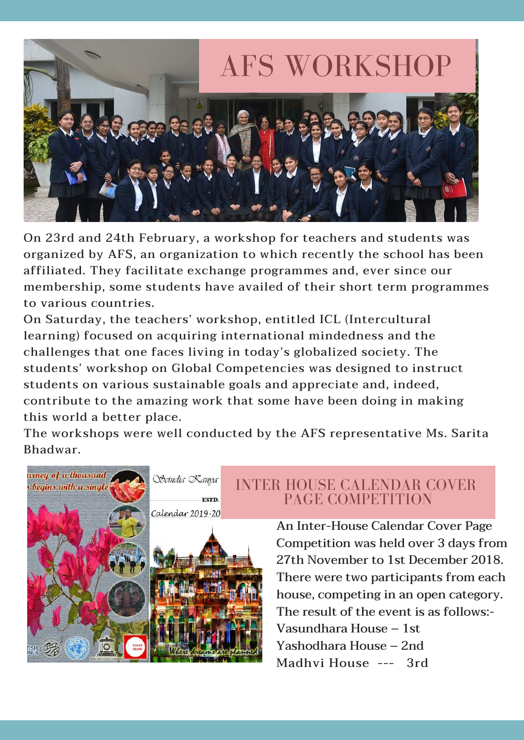

On 23rd and 24th February, a workshop for teachers and students was organized by AFS, an organization to which recently the school has been affiliated. They facilitate exchange programmes and, ever since our membership, some students have availed of their short term programmes to various countries.

On Saturday, the teachers' workshop, entitled ICL (Intercultural learning) focused on acquiring international mindedness and the challenges that one faces living in today's globalized society. The students' workshop on Global Competencies was designed to instruct students on various sustainable goals and appreciate and, indeed, contribute to the amazing work that some have been doing in making this world a better place.

The workshops were well conducted by the AFS representative Ms. Sarita Bhadwar.



INTER HOUSE CALENDAR COVER PAGE COMPETITION

> An Inter-House Calendar Cover Page Competition was held over 3 days from 27th November to 1st December 2018. There were two participants from each house, competing in an open category. The result of the event is as follows:- Vasundhara House – 1st Yashodhara House – 2nd Madhvi House --- 3rd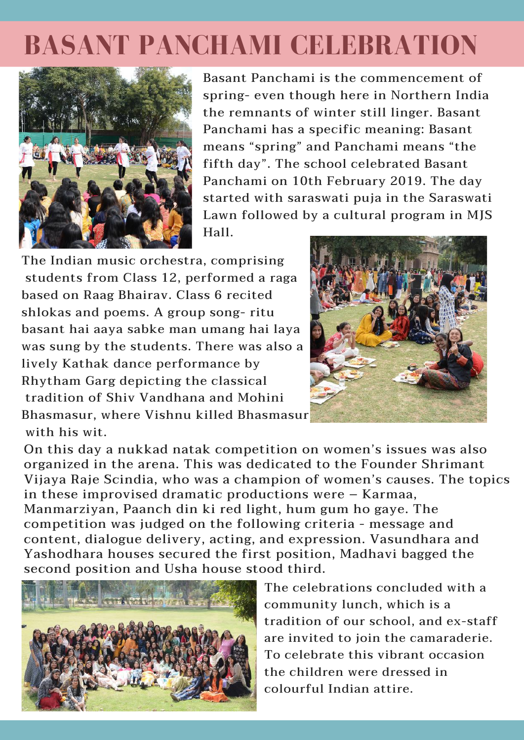### **BASANT PANCHAMI CELEBRATION**



Basant Panchami is the commencement of spring- even though here in Northern India the remnants of winter still linger. Basant Panchami has a specific meaning: Basant means "spring" and Panchami means "the fifth day". The school celebrated Basant Panchami on 10th February 2019. The day started with saraswati puja in the Saraswati Lawn followed by a cultural program in MJS Hall.

The Indian music orchestra, comprising students from Class 12, performed a raga based on Raag Bhairav. Class 6 recited shlokas and poems. A group song- ritu basant hai aaya sabke man umang hai laya was sung by the students. There was also a lively Kathak dance performance by Rhytham Garg depicting the classical tradition of Shiv Vandhana and Mohini Bhasmasur, where Vishnu killed Bhasmasur with his wit.



On this day a nukkad natak competition on women's issues was also organized in the arena. This was dedicated to the Founder Shrimant Vijaya Raje Scindia, who was a champion of women's causes. The topics in these improvised dramatic productions were – Karmaa, Manmarziyan, Paanch din ki red light, hum gum ho gaye. The competition was judged on the following criteria - message and content, dialogue delivery, acting, and expression. Vasundhara and Yashodhara houses secured the first position, Madhavi bagged the second position and Usha house stood third.



The celebrations concluded with a community lunch, which is a tradition of our school, and ex-staff are invited to join the camaraderie. To celebrate this vibrant occasion the children were dressed in colourful Indian attire.